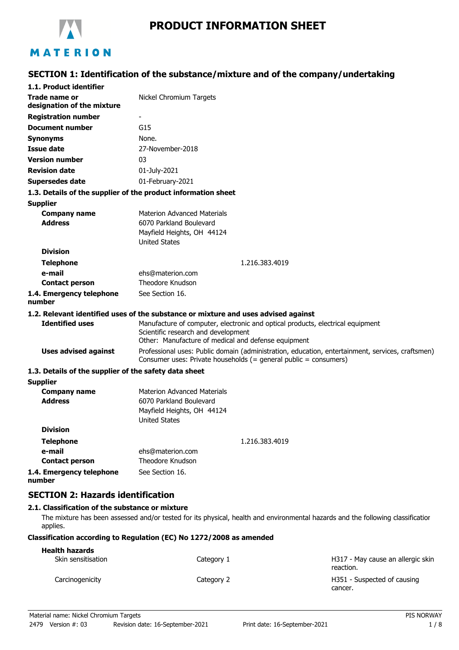

# **PRODUCT INFORMATION SHEET**

# **SECTION 1: Identification of the substance/mixture and of the company/undertaking**

| 1.1. Product identifier                                       |                                                                                                                                                                      |  |
|---------------------------------------------------------------|----------------------------------------------------------------------------------------------------------------------------------------------------------------------|--|
| Trade name or<br>designation of the mixture                   | Nickel Chromium Targets                                                                                                                                              |  |
| <b>Registration number</b>                                    |                                                                                                                                                                      |  |
| Document number                                               | G15                                                                                                                                                                  |  |
| <b>Synonyms</b>                                               | None.                                                                                                                                                                |  |
| <b>Issue date</b>                                             | 27-November-2018                                                                                                                                                     |  |
| <b>Version number</b>                                         | 03                                                                                                                                                                   |  |
| <b>Revision date</b>                                          | 01-July-2021                                                                                                                                                         |  |
| <b>Supersedes date</b>                                        | 01-February-2021                                                                                                                                                     |  |
| 1.3. Details of the supplier of the product information sheet |                                                                                                                                                                      |  |
| <b>Supplier</b>                                               |                                                                                                                                                                      |  |
| <b>Company name</b>                                           | <b>Materion Advanced Materials</b>                                                                                                                                   |  |
| <b>Address</b>                                                | 6070 Parkland Boulevard                                                                                                                                              |  |
|                                                               | Mayfield Heights, OH 44124                                                                                                                                           |  |
| <b>Division</b>                                               | <b>United States</b>                                                                                                                                                 |  |
|                                                               |                                                                                                                                                                      |  |
| <b>Telephone</b><br>e-mail                                    | 1.216.383.4019<br>ehs@materion.com                                                                                                                                   |  |
| <b>Contact person</b>                                         | Theodore Knudson                                                                                                                                                     |  |
| 1.4. Emergency telephone                                      | See Section 16.                                                                                                                                                      |  |
| number                                                        |                                                                                                                                                                      |  |
|                                                               | 1.2. Relevant identified uses of the substance or mixture and uses advised against                                                                                   |  |
| <b>Identified uses</b>                                        | Manufacture of computer, electronic and optical products, electrical equipment                                                                                       |  |
|                                                               | Scientific research and development                                                                                                                                  |  |
|                                                               | Other: Manufacture of medical and defense equipment                                                                                                                  |  |
| <b>Uses advised against</b>                                   | Professional uses: Public domain (administration, education, entertainment, services, craftsmen)<br>Consumer uses: Private households (= general public = consumers) |  |
| 1.3. Details of the supplier of the safety data sheet         |                                                                                                                                                                      |  |
| <b>Supplier</b>                                               |                                                                                                                                                                      |  |
| <b>Company name</b>                                           | Materion Advanced Materials                                                                                                                                          |  |
| <b>Address</b>                                                | 6070 Parkland Boulevard                                                                                                                                              |  |
|                                                               | Mayfield Heights, OH 44124<br><b>United States</b>                                                                                                                   |  |
| <b>Division</b>                                               |                                                                                                                                                                      |  |
| <b>Telephone</b>                                              | 1.216.383.4019                                                                                                                                                       |  |
| e-mail                                                        | ehs@materion.com                                                                                                                                                     |  |
| <b>Contact person</b>                                         | Theodore Knudson                                                                                                                                                     |  |
| 1.4. Emergency telephone                                      | See Section 16.                                                                                                                                                      |  |
| number                                                        |                                                                                                                                                                      |  |
|                                                               |                                                                                                                                                                      |  |

# **SECTION 2: Hazards identification**

# **2.1. Classification of the substance or mixture**

The mixture has been assessed and/or tested for its physical, health and environmental hazards and the following classification applies.

## **Classification according to Regulation (EC) No 1272/2008 as amended**

| <b>Health hazards</b> |            |                                                |
|-----------------------|------------|------------------------------------------------|
| Skin sensitisation    | Category 1 | H317 - May cause an allergic skin<br>reaction. |
| Carcinogenicity       | Category 2 | H351 - Suspected of causing<br>cancer.         |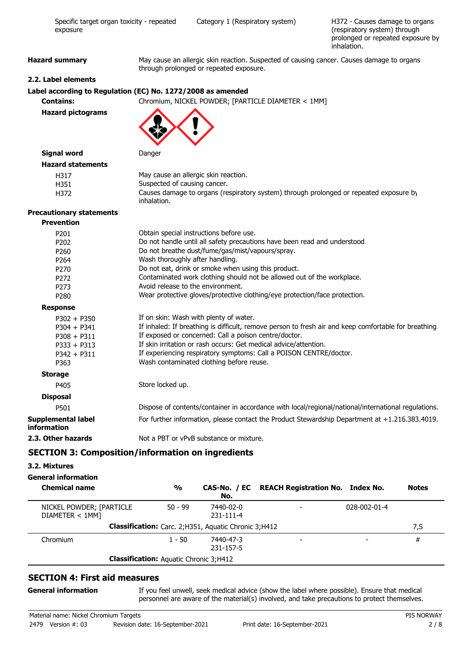| exposure                          | (respiratory system) through<br>prolonged or repeated exposure by<br>inhalation.                                                     |  |
|-----------------------------------|--------------------------------------------------------------------------------------------------------------------------------------|--|
| <b>Hazard summary</b>             | May cause an allergic skin reaction. Suspected of causing cancer. Causes damage to organs<br>through prolonged or repeated exposure. |  |
| 2.2. Label elements               |                                                                                                                                      |  |
|                                   | Label according to Regulation (EC) No. 1272/2008 as amended                                                                          |  |
| <b>Contains:</b>                  | Chromium, NICKEL POWDER; [PARTICLE DIAMETER < 1MM]                                                                                   |  |
| <b>Hazard pictograms</b>          |                                                                                                                                      |  |
| <b>Signal word</b>                | Danger                                                                                                                               |  |
| <b>Hazard statements</b>          |                                                                                                                                      |  |
| H317                              | May cause an allergic skin reaction.                                                                                                 |  |
| H351                              | Suspected of causing cancer.                                                                                                         |  |
| H372                              | Causes damage to organs (respiratory system) through prolonged or repeated exposure by<br>inhalation.                                |  |
| <b>Precautionary statements</b>   |                                                                                                                                      |  |
| <b>Prevention</b>                 |                                                                                                                                      |  |
| P201                              | Obtain special instructions before use.                                                                                              |  |
| P202                              | Do not handle until all safety precautions have been read and understood.                                                            |  |
| P260                              | Do not breathe dust/fume/gas/mist/vapours/spray.                                                                                     |  |
| P <sub>264</sub>                  | Wash thoroughly after handling.                                                                                                      |  |
| P270                              | Do not eat, drink or smoke when using this product.                                                                                  |  |
| P272                              | Contaminated work clothing should not be allowed out of the workplace.                                                               |  |
| P273                              | Avoid release to the environment.                                                                                                    |  |
| P280                              | Wear protective gloves/protective clothing/eye protection/face protection.                                                           |  |
| <b>Response</b>                   |                                                                                                                                      |  |
| $P302 + P350$                     | If on skin: Wash with plenty of water.                                                                                               |  |
| $P304 + P341$                     | If inhaled: If breathing is difficult, remove person to fresh air and keep comfortable for breathing.                                |  |
| $P308 + P311$                     | If exposed or concerned: Call a poison centre/doctor.                                                                                |  |
| $P333 + P313$                     | If skin irritation or rash occurs: Get medical advice/attention.                                                                     |  |
| $P342 + P311$                     | If experiencing respiratory symptoms: Call a POISON CENTRE/doctor.                                                                   |  |
| P363                              | Wash contaminated clothing before reuse.                                                                                             |  |
| <b>Storage</b>                    |                                                                                                                                      |  |
| P405                              | Store locked up.                                                                                                                     |  |
| <b>Disposal</b>                   |                                                                                                                                      |  |
| P501                              | Dispose of contents/container in accordance with local/regional/national/international regulations.                                  |  |
| Supplemental label<br>information | For further information, please contact the Product Stewardship Department at +1.216.383.4019.                                       |  |
| 2.3. Other hazards                | Not a PBT or vPvB substance or mixture.                                                                                              |  |

Specific target organ toxicity - repeated Category 1 (Respiratory system)

# **SECTION 3: Composition/information on ingredients**

# **3.2. Mixtures**

# **General information**

| <b>Chemical name</b>                          | $\frac{0}{0}$ | No.                                                    | CAS-No. / EC REACH Registration No. Index No. |              | <b>Notes</b> |
|-----------------------------------------------|---------------|--------------------------------------------------------|-----------------------------------------------|--------------|--------------|
| NICKEL POWDER; [PARTICLE<br>DIAMETER < 1MM]   | $50 - 99$     | 7440-02-0<br>231-111-4                                 |                                               | 028-002-01-4 |              |
|                                               |               | Classification: Carc. 2; H351, Aquatic Chronic 3; H412 |                                               |              | 7,S          |
| Chromium                                      | $1 - 50$      | 7440-47-3<br>231-157-5                                 |                                               |              | #            |
| <b>Classification:</b> Aquatic Chronic 3;H412 |               |                                                        |                                               |              |              |

# **SECTION 4: First aid measures**

### **General information**

If you feel unwell, seek medical advice (show the label where possible). Ensure that medical personnel are aware of the material(s) involved, and take precautions to protect themselves.

H372 - Causes damage to organs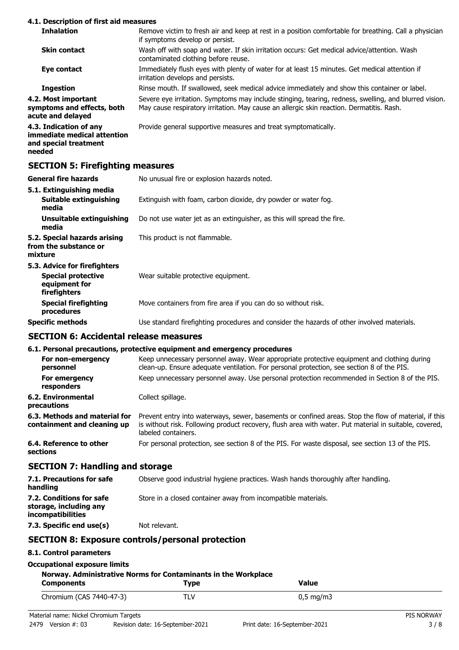## **4.1. Description of first aid measures**

| <b>Inhalation</b>                                                                        | Remove victim to fresh air and keep at rest in a position comfortable for breathing. Call a physician<br>if symptoms develop or persist.                                                          |
|------------------------------------------------------------------------------------------|---------------------------------------------------------------------------------------------------------------------------------------------------------------------------------------------------|
| <b>Skin contact</b>                                                                      | Wash off with soap and water. If skin irritation occurs: Get medical advice/attention. Wash<br>contaminated clothing before reuse.                                                                |
| Eye contact                                                                              | Immediately flush eyes with plenty of water for at least 15 minutes. Get medical attention if<br>irritation develops and persists.                                                                |
| <b>Ingestion</b>                                                                         | Rinse mouth. If swallowed, seek medical advice immediately and show this container or label.                                                                                                      |
| 4.2. Most important<br>symptoms and effects, both<br>acute and delayed                   | Severe eye irritation. Symptoms may include stinging, tearing, redness, swelling, and blurred vision.<br>May cause respiratory irritation. May cause an allergic skin reaction. Dermatitis. Rash. |
| 4.3. Indication of any<br>immediate medical attention<br>and special treatment<br>needed | Provide general supportive measures and treat symptomatically.                                                                                                                                    |
| <b>SECTION 5: Firefighting measures</b>                                                  |                                                                                                                                                                                                   |

| General fire hazards                                                                       | No unusual fire or explosion hazards noted.                                                |
|--------------------------------------------------------------------------------------------|--------------------------------------------------------------------------------------------|
| 5.1. Extinguishing media<br><b>Suitable extinguishing</b><br>media                         | Extinguish with foam, carbon dioxide, dry powder or water fog.                             |
| <b>Unsuitable extinguishing</b><br>media                                                   | Do not use water jet as an extinguisher, as this will spread the fire.                     |
| 5.2. Special hazards arising<br>from the substance or<br>mixture                           | This product is not flammable.                                                             |
| 5.3. Advice for firefighters<br><b>Special protective</b><br>equipment for<br>firefighters | Wear suitable protective equipment.                                                        |
| <b>Special firefighting</b><br>procedures                                                  | Move containers from fire area if you can do so without risk.                              |
| Specific methods                                                                           | Use standard firefighting procedures and consider the hazards of other involved materials. |

## **SECTION 6: Accidental release measures**

# **6.1. Personal precautions, protective equipment and emergency procedures**

|                                                              | o.i. Personal precautions, protective equipment and emergency procedures                                                                                                                                                              |
|--------------------------------------------------------------|---------------------------------------------------------------------------------------------------------------------------------------------------------------------------------------------------------------------------------------|
| For non-emergency<br>personnel                               | Keep unnecessary personnel away. Wear appropriate protective equipment and clothing during<br>clean-up. Ensure adequate ventilation. For personal protection, see section 8 of the PIS.                                               |
| For emergency<br>responders                                  | Keep unnecessary personnel away. Use personal protection recommended in Section 8 of the PIS.                                                                                                                                         |
| <b>6.2. Environmental</b><br>precautions                     | Collect spillage.                                                                                                                                                                                                                     |
| 6.3. Methods and material for<br>containment and cleaning up | Prevent entry into waterways, sewer, basements or confined areas. Stop the flow of material, if this<br>is without risk. Following product recovery, flush area with water. Put material in suitable, covered,<br>labeled containers. |
| 6.4. Reference to other<br>sections                          | For personal protection, see section 8 of the PIS. For waste disposal, see section 13 of the PIS.                                                                                                                                     |

# **SECTION 7: Handling and storage**

| 7.1. Precautions for safe<br>handling                                   | Observe good industrial hygiene practices. Wash hands thoroughly after handling. |
|-------------------------------------------------------------------------|----------------------------------------------------------------------------------|
| 7.2. Conditions for safe<br>storage, including any<br>incompatibilities | Store in a closed container away from incompatible materials.                    |
| 7.3. Specific end use(s)                                                | Not relevant.                                                                    |

# **SECTION 8: Exposure controls/personal protection**

## **8.1. Control parameters**

| <b>Occupational exposure limits</b> |  |
|-------------------------------------|--|
|                                     |  |

## **Norway. Administrative Norms for Contaminants in the Workplace**

| <b>Components</b>        | Type       | <b>Value</b>          |  |
|--------------------------|------------|-----------------------|--|
| Chromium (CAS 7440-47-3) | <b>TLV</b> | $0,5 \,\mathrm{mg/m}$ |  |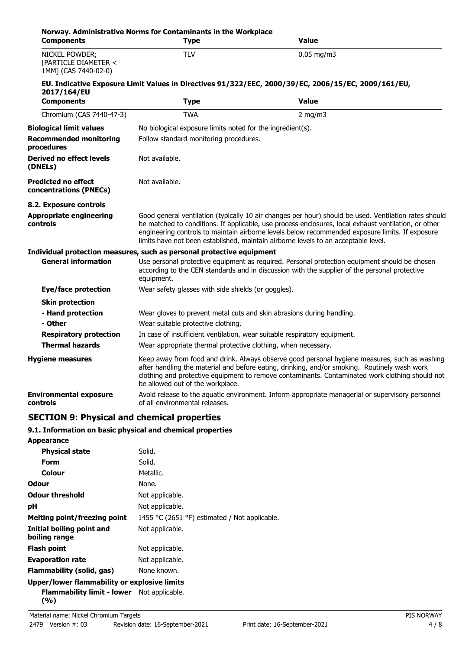| <b>Components</b>                                              | Norway. Administrative Norms for Contaminants in the Workplace<br><b>Type</b>                                                                                                                                                                                                                                                                                                                          | <b>Value</b>                                                                                        |  |
|----------------------------------------------------------------|--------------------------------------------------------------------------------------------------------------------------------------------------------------------------------------------------------------------------------------------------------------------------------------------------------------------------------------------------------------------------------------------------------|-----------------------------------------------------------------------------------------------------|--|
| NICKEL POWDER;<br>[PARTICLE DIAMETER <<br>1MM] (CAS 7440-02-0) | <b>TLV</b>                                                                                                                                                                                                                                                                                                                                                                                             | $0,05 \text{ mg/m}$ 3                                                                               |  |
|                                                                |                                                                                                                                                                                                                                                                                                                                                                                                        | EU. Indicative Exposure Limit Values in Directives 91/322/EEC, 2000/39/EC, 2006/15/EC, 2009/161/EU, |  |
| 2017/164/EU                                                    |                                                                                                                                                                                                                                                                                                                                                                                                        |                                                                                                     |  |
| <b>Components</b>                                              | <b>Type</b>                                                                                                                                                                                                                                                                                                                                                                                            | <b>Value</b>                                                                                        |  |
| Chromium (CAS 7440-47-3)                                       | <b>TWA</b>                                                                                                                                                                                                                                                                                                                                                                                             | $2$ mg/m $3$                                                                                        |  |
| <b>Biological limit values</b>                                 | No biological exposure limits noted for the ingredient(s).                                                                                                                                                                                                                                                                                                                                             |                                                                                                     |  |
| <b>Recommended monitoring</b><br>procedures                    | Follow standard monitoring procedures.                                                                                                                                                                                                                                                                                                                                                                 |                                                                                                     |  |
| Derived no effect levels<br>(DNELs)                            | Not available.                                                                                                                                                                                                                                                                                                                                                                                         |                                                                                                     |  |
| <b>Predicted no effect</b><br>concentrations (PNECs)           | Not available.                                                                                                                                                                                                                                                                                                                                                                                         |                                                                                                     |  |
| 8.2. Exposure controls                                         |                                                                                                                                                                                                                                                                                                                                                                                                        |                                                                                                     |  |
| Appropriate engineering<br>controls                            | Good general ventilation (typically 10 air changes per hour) should be used. Ventilation rates should<br>be matched to conditions. If applicable, use process enclosures, local exhaust ventilation, or other<br>engineering controls to maintain airborne levels below recommended exposure limits. If exposure<br>limits have not been established, maintain airborne levels to an acceptable level. |                                                                                                     |  |
|                                                                | Individual protection measures, such as personal protective equipment                                                                                                                                                                                                                                                                                                                                  |                                                                                                     |  |
| <b>General information</b>                                     | Use personal protective equipment as required. Personal protection equipment should be chosen<br>according to the CEN standards and in discussion with the supplier of the personal protective<br>equipment.                                                                                                                                                                                           |                                                                                                     |  |
| Eye/face protection                                            | Wear safety glasses with side shields (or goggles).                                                                                                                                                                                                                                                                                                                                                    |                                                                                                     |  |
| <b>Skin protection</b>                                         |                                                                                                                                                                                                                                                                                                                                                                                                        |                                                                                                     |  |
| - Hand protection                                              | Wear gloves to prevent metal cuts and skin abrasions during handling.                                                                                                                                                                                                                                                                                                                                  |                                                                                                     |  |
| - Other                                                        | Wear suitable protective clothing.                                                                                                                                                                                                                                                                                                                                                                     |                                                                                                     |  |
| <b>Respiratory protection</b>                                  | In case of insufficient ventilation, wear suitable respiratory equipment.                                                                                                                                                                                                                                                                                                                              |                                                                                                     |  |
| <b>Thermal hazards</b>                                         | Wear appropriate thermal protective clothing, when necessary.                                                                                                                                                                                                                                                                                                                                          |                                                                                                     |  |
| <b>Hygiene measures</b>                                        | Keep away from food and drink. Always observe good personal hygiene measures, such as washing<br>after handling the material and before eating, drinking, and/or smoking. Routinely wash work<br>clothing and protective equipment to remove contaminants. Contaminated work clothing should not<br>be allowed out of the workplace.                                                                   |                                                                                                     |  |
| <b>Environmental exposure</b><br>controls                      | of all environmental releases.                                                                                                                                                                                                                                                                                                                                                                         | Avoid release to the aquatic environment. Inform appropriate managerial or supervisory personnel    |  |
|                                                                |                                                                                                                                                                                                                                                                                                                                                                                                        |                                                                                                     |  |

# **SECTION 9: Physical and chemical properties**

# **9.1. Information on basic physical and chemical properties**

| <b>Appearance</b>                            |                                               |
|----------------------------------------------|-----------------------------------------------|
| <b>Physical state</b>                        | Solid.                                        |
| Form                                         | Solid.                                        |
| Colour                                       | Metallic.                                     |
| Odour                                        | None.                                         |
| <b>Odour threshold</b>                       | Not applicable.                               |
| рH                                           | Not applicable.                               |
| <b>Melting point/freezing point</b>          | 1455 °C (2651 °F) estimated / Not applicable. |
| Initial boiling point and<br>boiling range   | Not applicable.                               |
| <b>Flash point</b>                           | Not applicable.                               |
| <b>Evaporation rate</b>                      | Not applicable.                               |
| Flammability (solid, gas)                    | None known.                                   |
| Upper/lower flammability or explosive limits |                                               |
| <b>Flammability limit - lower</b>            | Not applicable.                               |

**(%)**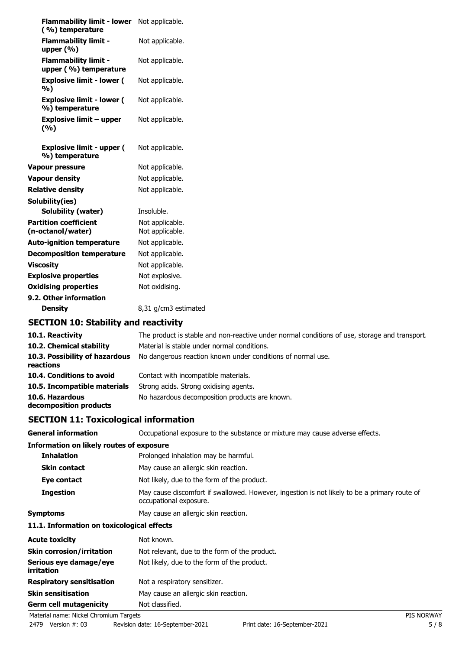| <b>Flammability limit - lower</b><br>(%) temperature | Not applicable.                    |
|------------------------------------------------------|------------------------------------|
| <b>Flammability limit -</b><br>upper $(% )$          | Not applicable.                    |
| <b>Flammability limit -</b><br>upper (%) temperature | Not applicable.                    |
| <b>Explosive limit - lower (</b><br>%)               | Not applicable.                    |
| <b>Explosive limit - lower (</b><br>%) temperature   | Not applicable.                    |
| <b>Explosive limit - upper</b><br>(9/6)              | Not applicable.                    |
| <b>Explosive limit - upper (</b><br>%) temperature   | Not applicable.                    |
| <b>Vapour pressure</b>                               | Not applicable.                    |
| <b>Vapour density</b>                                | Not applicable.                    |
| <b>Relative density</b>                              | Not applicable.                    |
| Solubility(ies)                                      |                                    |
| Solubility (water)                                   | Insoluble.                         |
| <b>Partition coefficient</b><br>(n-octanol/water)    | Not applicable.<br>Not applicable. |
| <b>Auto-ignition temperature</b>                     | Not applicable.                    |
| <b>Decomposition temperature</b>                     | Not applicable.                    |
| <b>Viscosity</b>                                     | Not applicable.                    |
| <b>Explosive properties</b>                          | Not explosive.                     |
| <b>Oxidising properties</b>                          | Not oxidising.                     |
| 9.2. Other information                               |                                    |
| <b>Density</b>                                       | 8,31 g/cm3 estimated               |
| <b>SECTION 10: Stability and reactivity</b>          |                                    |
|                                                      |                                    |

| 10.1. Reactivity                            | The product is stable and non-reactive under normal conditions of use, storage and transport |
|---------------------------------------------|----------------------------------------------------------------------------------------------|
| 10.2. Chemical stability                    | Material is stable under normal conditions.                                                  |
| 10.3. Possibility of hazardous<br>reactions | No dangerous reaction known under conditions of normal use.                                  |
| 10.4. Conditions to avoid                   | Contact with incompatible materials.                                                         |
| 10.5. Incompatible materials                | Strong acids. Strong oxidising agents.                                                       |
| 10.6. Hazardous<br>decomposition products   | No hazardous decomposition products are known.                                               |

# **SECTION 11: Toxicological information**

| <b>General information</b>                      | Occupational exposure to the substance or mixture may cause adverse effects.                                           |
|-------------------------------------------------|------------------------------------------------------------------------------------------------------------------------|
| <b>Information on likely routes of exposure</b> |                                                                                                                        |
| <b>Inhalation</b>                               | Prolonged inhalation may be harmful.                                                                                   |
| <b>Skin contact</b>                             | May cause an allergic skin reaction.                                                                                   |
| Eye contact                                     | Not likely, due to the form of the product.                                                                            |
| <b>Ingestion</b>                                | May cause discomfort if swallowed. However, ingestion is not likely to be a primary route of<br>occupational exposure. |
| <b>Symptoms</b>                                 | May cause an allergic skin reaction.                                                                                   |
| 11.1. Information on toxicological effects      |                                                                                                                        |
| <b>Acute toxicity</b>                           | Not known.                                                                                                             |
| <b>Skin corrosion/irritation</b>                | Not relevant, due to the form of the product.                                                                          |
|                                                 |                                                                                                                        |

| Serious eye damage/eye<br><i>irritation</i> | Not likely, due to the form of the product. |                   |
|---------------------------------------------|---------------------------------------------|-------------------|
| <b>Respiratory sensitisation</b>            | Not a respiratory sensitizer.               |                   |
| <b>Skin sensitisation</b>                   | May cause an allergic skin reaction.        |                   |
| <b>Germ cell mutagenicity</b>               | Not classified.                             |                   |
| Material name: Nickel Chromium Targets      |                                             | <b>PIS NORWAY</b> |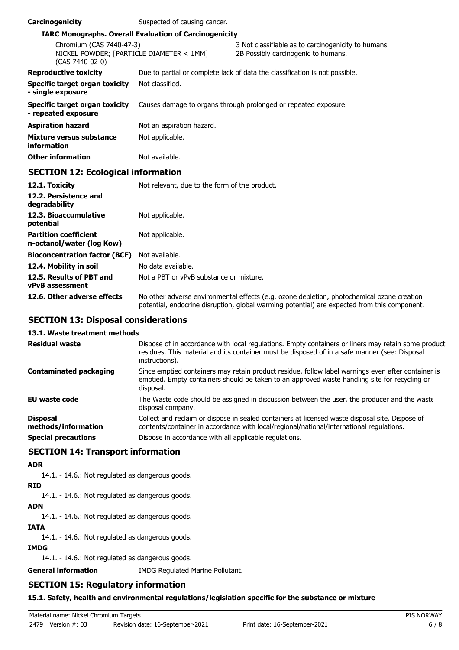| Carcinogenicity                                                                         | Suspected of causing cancer.                                  |                                                                                            |
|-----------------------------------------------------------------------------------------|---------------------------------------------------------------|--------------------------------------------------------------------------------------------|
|                                                                                         | <b>IARC Monographs. Overall Evaluation of Carcinogenicity</b> |                                                                                            |
| Chromium (CAS 7440-47-3)<br>NICKEL POWDER; [PARTICLE DIAMETER < 1MM]<br>(CAS 7440-02-0) |                                                               | 3 Not classifiable as to carcinogenicity to humans.<br>2B Possibly carcinogenic to humans. |
| <b>Reproductive toxicity</b>                                                            |                                                               | Due to partial or complete lack of data the classification is not possible.                |
| Specific target organ toxicity<br>- single exposure                                     | Not classified.                                               |                                                                                            |
| Specific target organ toxicity<br>- repeated exposure                                   |                                                               | Causes damage to organs through prolonged or repeated exposure.                            |
| Aspiration hazard                                                                       | Not an aspiration hazard.                                     |                                                                                            |
| Mixture versus substance<br>information                                                 | Not applicable.                                               |                                                                                            |
| Other information                                                                       | Not available.                                                |                                                                                            |
| <b>SECTION 12: Ecological information</b>                                               |                                                               |                                                                                            |

| 12.1. Toxicity                                            | Not relevant, due to the form of the product.                                                                                                                                              |
|-----------------------------------------------------------|--------------------------------------------------------------------------------------------------------------------------------------------------------------------------------------------|
| 12.2. Persistence and<br>degradability                    |                                                                                                                                                                                            |
| 12.3. Bioaccumulative<br>potential                        | Not applicable.                                                                                                                                                                            |
| <b>Partition coefficient</b><br>n-octanol/water (log Kow) | Not applicable.                                                                                                                                                                            |
| <b>Bioconcentration factor (BCF)</b>                      | Not available.                                                                                                                                                                             |
| 12.4. Mobility in soil                                    | No data available.                                                                                                                                                                         |
| 12.5. Results of PBT and<br><b>vPvB</b> assessment        | Not a PBT or vPvB substance or mixture.                                                                                                                                                    |
| 12.6. Other adverse effects                               | No other adverse environmental effects (e.g. ozone depletion, photochemical ozone creation<br>potential, endocrine disruption, global warming potential) are expected from this component. |

# **SECTION 13: Disposal considerations**

## **13.1. Waste treatment methods**

| <b>Residual waste</b>                  | Dispose of in accordance with local regulations. Empty containers or liners may retain some product<br>residues. This material and its container must be disposed of in a safe manner (see: Disposal<br>instructions). |
|----------------------------------------|------------------------------------------------------------------------------------------------------------------------------------------------------------------------------------------------------------------------|
| <b>Contaminated packaging</b>          | Since emptied containers may retain product residue, follow label warnings even after container is<br>emptied. Empty containers should be taken to an approved waste handling site for recycling or<br>disposal.       |
| <b>EU waste code</b>                   | The Waste code should be assigned in discussion between the user, the producer and the waste<br>disposal company.                                                                                                      |
| <b>Disposal</b><br>methods/information | Collect and reclaim or dispose in sealed containers at licensed waste disposal site. Dispose of<br>contents/container in accordance with local/regional/national/international regulations.                            |
| <b>Special precautions</b>             | Dispose in accordance with all applicable regulations.                                                                                                                                                                 |

# **SECTION 14: Transport information**

## **ADR**

14.1. - 14.6.: Not regulated as dangerous goods.

# **RID**

14.1. - 14.6.: Not regulated as dangerous goods.

# **ADN**

14.1. - 14.6.: Not regulated as dangerous goods.

## **IATA**

14.1. - 14.6.: Not regulated as dangerous goods.

## **IMDG**

14.1. - 14.6.: Not regulated as dangerous goods.

**General information** IMDG Regulated Marine Pollutant.

# **SECTION 15: Regulatory information**

# **15.1. Safety, health and environmental regulations/legislation specific for the substance or mixture**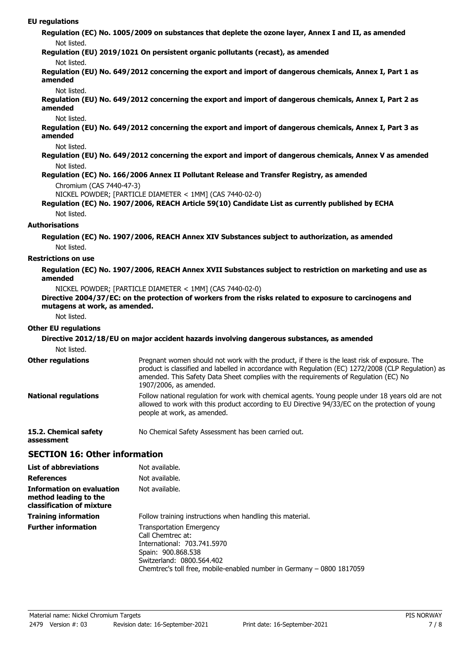#### **EU regulations**

**Regulation (EC) No. 1005/2009 on substances that deplete the ozone layer, Annex I and II, as amended** Not listed.

**Regulation (EU) 2019/1021 On persistent organic pollutants (recast), as amended**

#### Not listed.

**Regulation (EU) No. 649/2012 concerning the export and import of dangerous chemicals, Annex I, Part 1 as amended**

#### Not listed.

**Regulation (EU) No. 649/2012 concerning the export and import of dangerous chemicals, Annex I, Part 2 as amended**

#### Not listed.

**Regulation (EU) No. 649/2012 concerning the export and import of dangerous chemicals, Annex I, Part 3 as amended**

#### Not listed.

**Regulation (EU) No. 649/2012 concerning the export and import of dangerous chemicals, Annex V as amended** Not listed.

#### **Regulation (EC) No. 166/2006 Annex II Pollutant Release and Transfer Registry, as amended** Chromium (CAS 7440-47-3)

NICKEL POWDER; [PARTICLE DIAMETER < 1MM] (CAS 7440-02-0)

#### **Regulation (EC) No. 1907/2006, REACH Article 59(10) Candidate List as currently published by ECHA** Not listed.

#### **Authorisations**

**Regulation (EC) No. 1907/2006, REACH Annex XIV Substances subject to authorization, as amended** Not listed.

#### **Restrictions on use**

#### **Regulation (EC) No. 1907/2006, REACH Annex XVII Substances subject to restriction on marketing and use as amended**

NICKEL POWDER; [PARTICLE DIAMETER < 1MM] (CAS 7440-02-0)

## **Directive 2004/37/EC: on the protection of workers from the risks related to exposure to carcinogens and mutagens at work, as amended.**

Not listed.

## **Other EU regulations**

**assessment**

#### **Directive 2012/18/EU on major accident hazards involving dangerous substances, as amended** Not listed. Pregnant women should not work with the product, if there is the least risk of exposure. The product is classified and labelled in accordance with Regulation (EC) 1272/2008 (CLP Regulation) as amended. This Safety Data Sheet complies with the requirements of Regulation (EC) No 1907/2006, as amended. **Other regulations** Follow national regulation for work with chemical agents. Young people under 18 years old are not allowed to work with this product according to EU Directive 94/33/EC on the protection of young people at work, as amended. **National regulations 15.2. Chemical safety** No Chemical Safety Assessment has been carried out.

# **SECTION 16: Other information**

| <b>List of abbreviations</b>                                                           | Not available.                                                                                                                                                                                                  |
|----------------------------------------------------------------------------------------|-----------------------------------------------------------------------------------------------------------------------------------------------------------------------------------------------------------------|
| <b>References</b>                                                                      | Not available.                                                                                                                                                                                                  |
| <b>Information on evaluation</b><br>method leading to the<br>classification of mixture | Not available.                                                                                                                                                                                                  |
| <b>Training information</b>                                                            | Follow training instructions when handling this material.                                                                                                                                                       |
| <b>Further information</b>                                                             | <b>Transportation Emergency</b><br>Call Chemtrec at:<br>International: 703.741.5970<br>Spain: 900.868.538<br>Switzerland: 0800.564.402<br>Chemtrec's toll free, mobile-enabled number in Germany - 0800 1817059 |